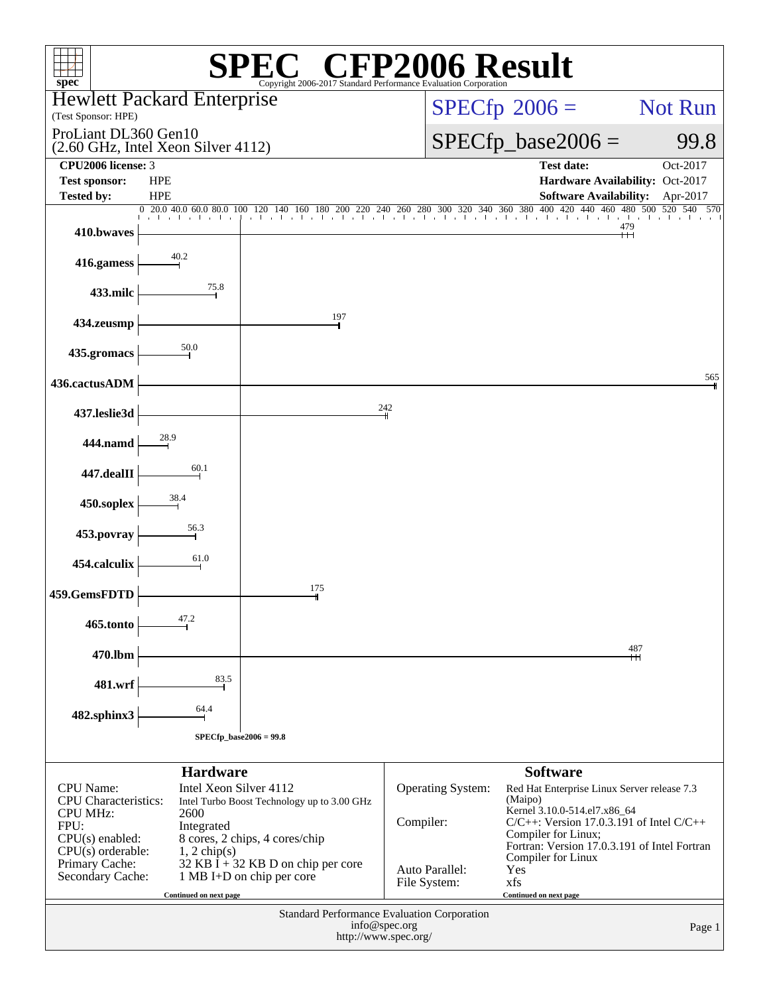| $spec^*$                                                                                                                                                                                                                                                                  |                                    | Copyright 2006-2017 Standard Performance Evaluation Corporation                                                       | $\mathbb{C}^{\scriptscriptstyle \circledast}$ CFP2006 Result                         |                                                                                                                                                                                                                |                                |  |  |  |
|---------------------------------------------------------------------------------------------------------------------------------------------------------------------------------------------------------------------------------------------------------------------------|------------------------------------|-----------------------------------------------------------------------------------------------------------------------|--------------------------------------------------------------------------------------|----------------------------------------------------------------------------------------------------------------------------------------------------------------------------------------------------------------|--------------------------------|--|--|--|
|                                                                                                                                                                                                                                                                           | <b>Hewlett Packard Enterprise</b>  |                                                                                                                       |                                                                                      | $SPECfp^{\circ}2006 =$                                                                                                                                                                                         | Not Run                        |  |  |  |
| (Test Sponsor: HPE)<br>ProLiant DL360 Gen10                                                                                                                                                                                                                               | (2.60 GHz, Intel Xeon Silver 4112) |                                                                                                                       |                                                                                      | $SPECfp\_base2006 =$                                                                                                                                                                                           |                                |  |  |  |
| CPU2006 license: 3<br><b>Test sponsor:</b>                                                                                                                                                                                                                                | <b>HPE</b>                         |                                                                                                                       |                                                                                      | Test date:<br>Hardware Availability: Oct-2017                                                                                                                                                                  | Oct-2017                       |  |  |  |
| <b>Tested by:</b>                                                                                                                                                                                                                                                         | <b>HPE</b>                         |                                                                                                                       |                                                                                      | <b>Software Availability:</b>                                                                                                                                                                                  | Apr-2017                       |  |  |  |
| 410.bwaves                                                                                                                                                                                                                                                                |                                    | 0 20.0 40.0 60.0 80.0 100 120 140 160 180 200 220 240 260 280 300 320 340 360 380 400 420 440 460 480 500 520 540 570 |                                                                                      |                                                                                                                                                                                                                | and and and the<br>479<br>$^+$ |  |  |  |
| 416.gamess                                                                                                                                                                                                                                                                | 40.2                               |                                                                                                                       |                                                                                      |                                                                                                                                                                                                                |                                |  |  |  |
| 433.milc                                                                                                                                                                                                                                                                  | 75.8                               |                                                                                                                       |                                                                                      |                                                                                                                                                                                                                |                                |  |  |  |
| 434.zeusmp                                                                                                                                                                                                                                                                |                                    | 197                                                                                                                   |                                                                                      |                                                                                                                                                                                                                |                                |  |  |  |
| 435.gromacs                                                                                                                                                                                                                                                               | 50.0                               |                                                                                                                       |                                                                                      |                                                                                                                                                                                                                |                                |  |  |  |
| 436.cactusADM                                                                                                                                                                                                                                                             |                                    |                                                                                                                       |                                                                                      |                                                                                                                                                                                                                | 565                            |  |  |  |
| 437.leslie3d                                                                                                                                                                                                                                                              |                                    |                                                                                                                       | 242                                                                                  |                                                                                                                                                                                                                |                                |  |  |  |
| 444.namd                                                                                                                                                                                                                                                                  | 28.9                               |                                                                                                                       |                                                                                      |                                                                                                                                                                                                                |                                |  |  |  |
| 447.dealII                                                                                                                                                                                                                                                                | 60.1                               |                                                                                                                       |                                                                                      |                                                                                                                                                                                                                |                                |  |  |  |
| 450.soplex                                                                                                                                                                                                                                                                | 38.4                               |                                                                                                                       |                                                                                      |                                                                                                                                                                                                                |                                |  |  |  |
| 453.povray                                                                                                                                                                                                                                                                | 56.3                               |                                                                                                                       |                                                                                      |                                                                                                                                                                                                                |                                |  |  |  |
| 454.calculix                                                                                                                                                                                                                                                              | 61.0                               |                                                                                                                       |                                                                                      |                                                                                                                                                                                                                |                                |  |  |  |
| 459.GemsFDTD                                                                                                                                                                                                                                                              |                                    | 175                                                                                                                   |                                                                                      |                                                                                                                                                                                                                |                                |  |  |  |
| 465.tonto                                                                                                                                                                                                                                                                 | 47.2                               |                                                                                                                       |                                                                                      |                                                                                                                                                                                                                |                                |  |  |  |
| 470.lbm                                                                                                                                                                                                                                                                   |                                    |                                                                                                                       |                                                                                      |                                                                                                                                                                                                                | 487                            |  |  |  |
| 481.wrf                                                                                                                                                                                                                                                                   | 83.5                               |                                                                                                                       |                                                                                      |                                                                                                                                                                                                                |                                |  |  |  |
| 482.sphinx3                                                                                                                                                                                                                                                               | 64.4                               |                                                                                                                       |                                                                                      |                                                                                                                                                                                                                |                                |  |  |  |
|                                                                                                                                                                                                                                                                           | SPECfp_base2006 = 99.8             |                                                                                                                       |                                                                                      |                                                                                                                                                                                                                |                                |  |  |  |
|                                                                                                                                                                                                                                                                           | <b>Hardware</b>                    |                                                                                                                       |                                                                                      | <b>Software</b>                                                                                                                                                                                                |                                |  |  |  |
| Intel Xeon Silver 4112<br><b>CPU</b> Name:<br><b>CPU</b> Characteristics:<br>Intel Turbo Boost Technology up to 3.00 GHz<br><b>CPU MHz:</b><br>2600<br>FPU:<br>Integrated<br>$CPU(s)$ enabled:<br>8 cores, 2 chips, 4 cores/chip<br>$CPU(s)$ orderable:<br>$1, 2$ chip(s) |                                    |                                                                                                                       | Operating System:<br>Compiler:                                                       | Red Hat Enterprise Linux Server release 7.3<br>(Maipo)<br>Kernel 3.10.0-514.el7.x86_64<br>$C/C++$ : Version 17.0.3.191 of Intel $C/C++$<br>Compiler for Linux;<br>Fortran: Version 17.0.3.191 of Intel Fortran |                                |  |  |  |
| Primary Cache:<br>Secondary Cache:                                                                                                                                                                                                                                        | Continued on next page             | $32$ KB I + 32 KB D on chip per core<br>1 MB I+D on chip per core                                                     | Auto Parallel:<br>File System:                                                       | Compiler for Linux<br>Yes<br>xfs<br>Continued on next page                                                                                                                                                     |                                |  |  |  |
|                                                                                                                                                                                                                                                                           |                                    |                                                                                                                       | Standard Performance Evaluation Corporation<br>info@spec.org<br>http://www.spec.org/ |                                                                                                                                                                                                                | Page 1                         |  |  |  |
|                                                                                                                                                                                                                                                                           |                                    |                                                                                                                       |                                                                                      |                                                                                                                                                                                                                |                                |  |  |  |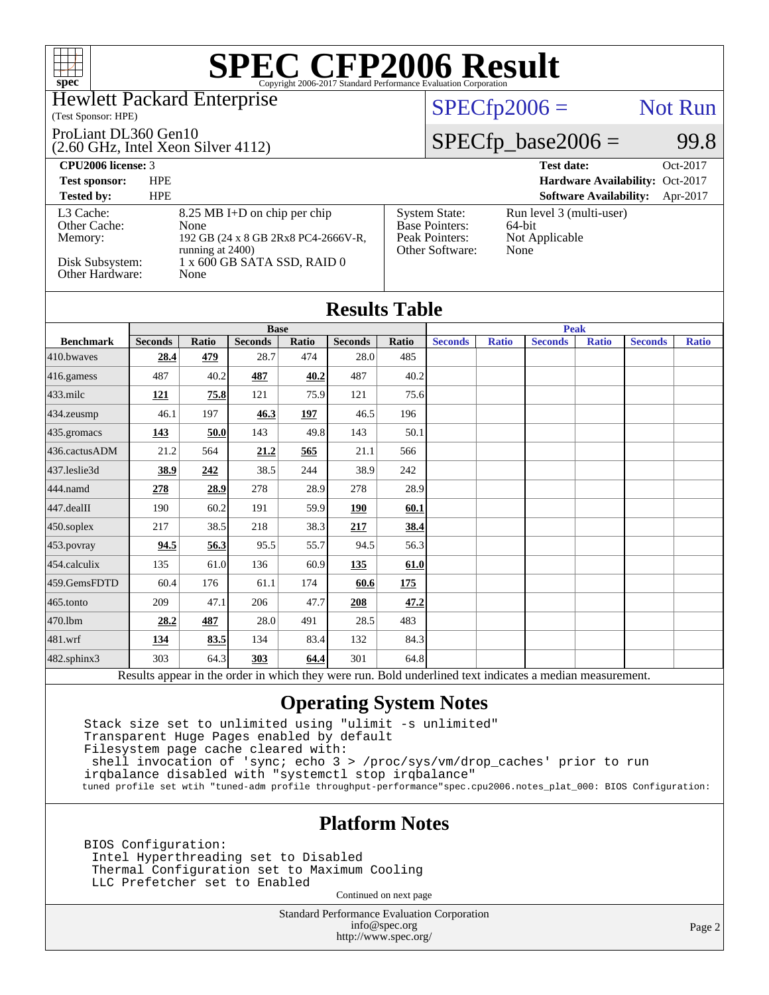### Hewlett Packard Enterprise

(Test Sponsor: HPE)

#### ProLiant DL360 Gen10

(2.60 GHz, Intel Xeon Silver 4112)

### $SPECTp2006 =$  Not Run

[System State:](http://www.spec.org/auto/cpu2006/Docs/result-fields.html#SystemState) Run level 3 (multi-user)<br>Base Pointers: 64-bit

[Peak Pointers:](http://www.spec.org/auto/cpu2006/Docs/result-fields.html#PeakPointers) Not Applicable

[Other Software:](http://www.spec.org/auto/cpu2006/Docs/result-fields.html#OtherSoftware) None

[Base Pointers:](http://www.spec.org/auto/cpu2006/Docs/result-fields.html#BasePointers)

### $SPECTp\_base2006 = 99.8$

**[CPU2006 license:](http://www.spec.org/auto/cpu2006/Docs/result-fields.html#CPU2006license)** 3 **[Test date:](http://www.spec.org/auto/cpu2006/Docs/result-fields.html#Testdate)** Oct-2017

**[Test sponsor:](http://www.spec.org/auto/cpu2006/Docs/result-fields.html#Testsponsor)** HPE **[Hardware Availability:](http://www.spec.org/auto/cpu2006/Docs/result-fields.html#HardwareAvailability)** Oct-2017

#### **[Tested by:](http://www.spec.org/auto/cpu2006/Docs/result-fields.html#Testedby)** HPE **[Software Availability:](http://www.spec.org/auto/cpu2006/Docs/result-fields.html#SoftwareAvailability)** Apr-2017 [L3 Cache:](http://www.spec.org/auto/cpu2006/Docs/result-fields.html#L3Cache) 8.25 MB I+D on chip per chip<br>Other Cache: None [Other Cache:](http://www.spec.org/auto/cpu2006/Docs/result-fields.html#OtherCache) [Memory:](http://www.spec.org/auto/cpu2006/Docs/result-fields.html#Memory) 192 GB (24 x 8 GB 2Rx8 PC4-2666V-R, running at 2400) [Disk Subsystem:](http://www.spec.org/auto/cpu2006/Docs/result-fields.html#DiskSubsystem) 1 x 600 GB SATA SSD, RAID 0<br>Other Hardware: None [Other Hardware:](http://www.spec.org/auto/cpu2006/Docs/result-fields.html#OtherHardware)

| <b>Results Table</b> |                |       |                |       |                |       |                |              |                |              |                |              |
|----------------------|----------------|-------|----------------|-------|----------------|-------|----------------|--------------|----------------|--------------|----------------|--------------|
|                      | <b>Base</b>    |       |                |       |                |       | <b>Peak</b>    |              |                |              |                |              |
| <b>Benchmark</b>     | <b>Seconds</b> | Ratio | <b>Seconds</b> | Ratio | <b>Seconds</b> | Ratio | <b>Seconds</b> | <b>Ratio</b> | <b>Seconds</b> | <b>Ratio</b> | <b>Seconds</b> | <b>Ratio</b> |
| 410.bwayes           | 28.4           | 479   | 28.7           | 474   | 28.0           | 485   |                |              |                |              |                |              |
| 416.gamess           | 487            | 40.2  | 487            | 40.2  | 487            | 40.2  |                |              |                |              |                |              |
| $433$ .milc          | <b>121</b>     | 75.8  | 121            | 75.9  | 121            | 75.6  |                |              |                |              |                |              |
| 434.zeusmp           | 46.1           | 197   | 46.3           | 197   | 46.5           | 196   |                |              |                |              |                |              |
| 435.gromacs          | 143            | 50.0  | 143            | 49.8  | 143            | 50.1  |                |              |                |              |                |              |
| 436.cactusADM        | 21.2           | 564   | 21.2           | 565   | 21.1           | 566   |                |              |                |              |                |              |
| 437.leslie3d         | 38.9           | 242   | 38.5           | 244   | 38.9           | 242   |                |              |                |              |                |              |
| 444.namd             | 278            | 28.9  | 278            | 28.9  | 278            | 28.9  |                |              |                |              |                |              |
| 447.dealII           | 190            | 60.2  | 191            | 59.9  | 190            | 60.1  |                |              |                |              |                |              |
| 450.soplex           | 217            | 38.5  | 218            | 38.3  | 217            | 38.4  |                |              |                |              |                |              |
| 453.povray           | 94.5           | 56.3  | 95.5           | 55.7  | 94.5           | 56.3  |                |              |                |              |                |              |
| 454.calculix         | 135            | 61.0  | 136            | 60.9  | <u>135</u>     | 61.0  |                |              |                |              |                |              |
| 459.GemsFDTD         | 60.4           | 176   | 61.1           | 174   | 60.6           | 175   |                |              |                |              |                |              |
| 465.tonto            | 209            | 47.1  | 206            | 47.7  | 208            | 47.2  |                |              |                |              |                |              |
| 470.1bm              | 28.2           | 487   | 28.0           | 491   | 28.5           | 483   |                |              |                |              |                |              |
| 481.wrf              | <u>134</u>     | 83.5  | 134            | 83.4  | 132            | 84.3  |                |              |                |              |                |              |
| 482.sphinx3          | 303            | 64.3  | 303            | 64.4  | 301            | 64.8  |                |              |                |              |                |              |

Results appear in the [order in which they were run.](http://www.spec.org/auto/cpu2006/Docs/result-fields.html#RunOrder) Bold underlined text [indicates a median measurement.](http://www.spec.org/auto/cpu2006/Docs/result-fields.html#Median)

### **[Operating System Notes](http://www.spec.org/auto/cpu2006/Docs/result-fields.html#OperatingSystemNotes)**

 Stack size set to unlimited using "ulimit -s unlimited" Transparent Huge Pages enabled by default Filesystem page cache cleared with: shell invocation of 'sync; echo 3 > /proc/sys/vm/drop\_caches' prior to run irqbalance disabled with "systemctl stop irqbalance" tuned profile set wtih "tuned-adm profile throughput-performance"spec.cpu2006.notes\_plat\_000: BIOS Configuration:

### **[Platform Notes](http://www.spec.org/auto/cpu2006/Docs/result-fields.html#PlatformNotes)**

 BIOS Configuration: Intel Hyperthreading set to Disabled Thermal Configuration set to Maximum Cooling LLC Prefetcher set to Enabled

Continued on next page

Standard Performance Evaluation Corporation [info@spec.org](mailto:info@spec.org) <http://www.spec.org/>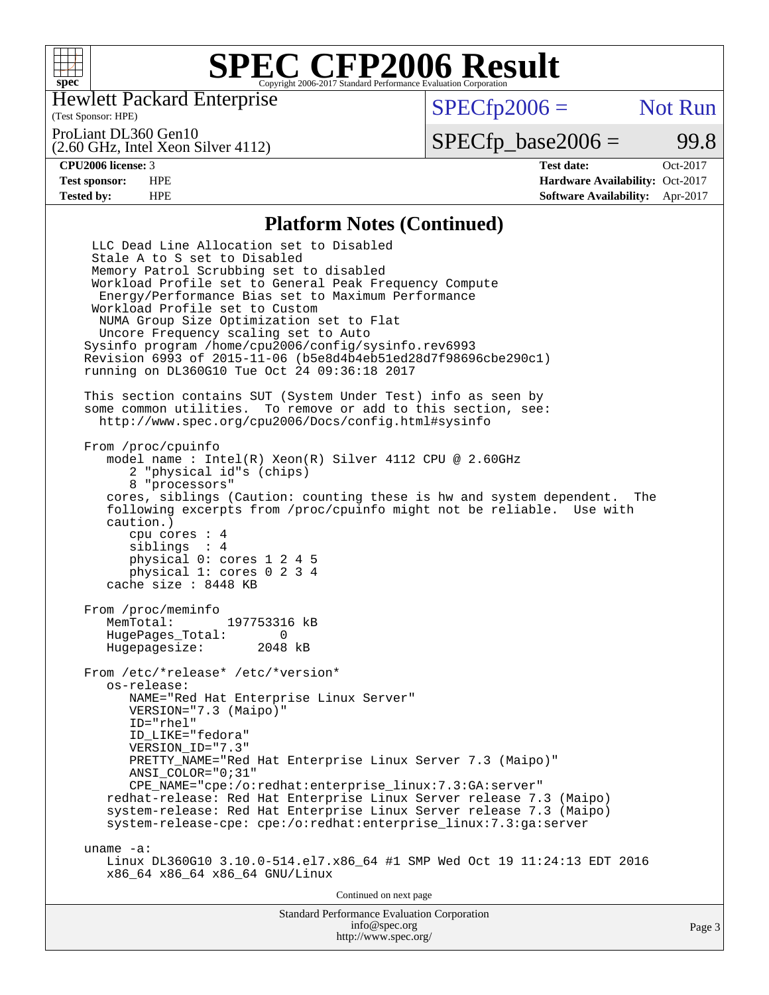

Hewlett Packard Enterprise

(Test Sponsor: HPE)

 $SPECTp2006 =$  Not Run

ProLiant DL360 Gen10

(2.60 GHz, Intel Xeon Silver 4112)

 $SPECfp\_base2006 =$  99.8

**[CPU2006 license:](http://www.spec.org/auto/cpu2006/Docs/result-fields.html#CPU2006license)** 3 **[Test date:](http://www.spec.org/auto/cpu2006/Docs/result-fields.html#Testdate)** Oct-2017 **[Test sponsor:](http://www.spec.org/auto/cpu2006/Docs/result-fields.html#Testsponsor)** HPE **[Hardware Availability:](http://www.spec.org/auto/cpu2006/Docs/result-fields.html#HardwareAvailability)** Oct-2017 **[Tested by:](http://www.spec.org/auto/cpu2006/Docs/result-fields.html#Testedby)** HPE **[Software Availability:](http://www.spec.org/auto/cpu2006/Docs/result-fields.html#SoftwareAvailability)** Apr-2017

#### **[Platform Notes \(Continued\)](http://www.spec.org/auto/cpu2006/Docs/result-fields.html#PlatformNotes)**

Standard Performance Evaluation Corporation LLC Dead Line Allocation set to Disabled Stale A to S set to Disabled Memory Patrol Scrubbing set to disabled Workload Profile set to General Peak Frequency Compute Energy/Performance Bias set to Maximum Performance Workload Profile set to Custom NUMA Group Size Optimization set to Flat Uncore Frequency scaling set to Auto Sysinfo program /home/cpu2006/config/sysinfo.rev6993 Revision 6993 of 2015-11-06 (b5e8d4b4eb51ed28d7f98696cbe290c1) running on DL360G10 Tue Oct 24 09:36:18 2017 This section contains SUT (System Under Test) info as seen by some common utilities. To remove or add to this section, see: <http://www.spec.org/cpu2006/Docs/config.html#sysinfo> From /proc/cpuinfo model name : Intel(R) Xeon(R) Silver 4112 CPU @ 2.60GHz 2 "physical id"s (chips) 8 "processors" cores, siblings (Caution: counting these is hw and system dependent. The following excerpts from /proc/cpuinfo might not be reliable. Use with caution.) cpu cores : 4 siblings : 4 physical 0: cores 1 2 4 5 physical 1: cores 0 2 3 4 cache size : 8448 KB From /proc/meminfo<br>MemTotal: 197753316 kB HugePages\_Total: 0<br>Hugepagesize: 2048 kB Hugepagesize: From /etc/\*release\* /etc/\*version\* os-release: NAME="Red Hat Enterprise Linux Server" VERSION="7.3 (Maipo)" ID="rhel" ID\_LIKE="fedora" VERSION\_ID="7.3" PRETTY\_NAME="Red Hat Enterprise Linux Server 7.3 (Maipo)" ANSI\_COLOR="0;31" CPE\_NAME="cpe:/o:redhat:enterprise\_linux:7.3:GA:server" redhat-release: Red Hat Enterprise Linux Server release 7.3 (Maipo) system-release: Red Hat Enterprise Linux Server release 7.3 (Maipo) system-release-cpe: cpe:/o:redhat:enterprise\_linux:7.3:ga:server uname -a: Linux DL360G10 3.10.0-514.el7.x86\_64 #1 SMP Wed Oct 19 11:24:13 EDT 2016 x86\_64 x86\_64 x86\_64 GNU/Linux Continued on next page

[info@spec.org](mailto:info@spec.org) <http://www.spec.org/>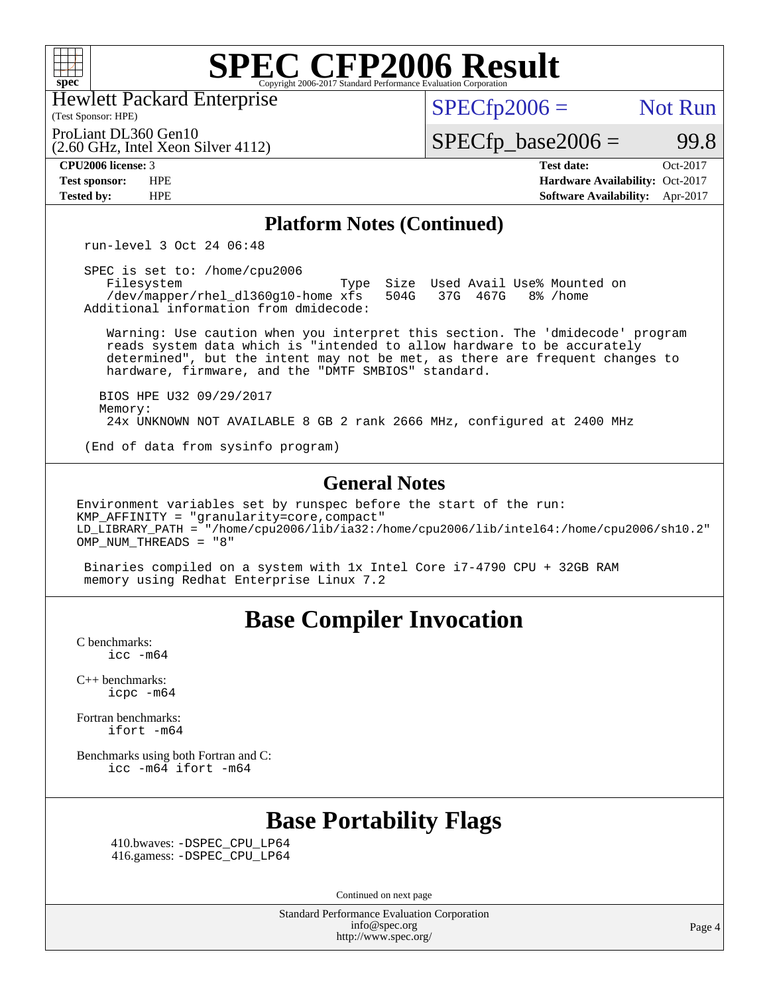

Hewlett Packard Enterprise

(Test Sponsor: HPE)

 $SPECfp2006 =$  Not Run

 $SPECTp\_base2006 = 99.8$ 

(2.60 GHz, Intel Xeon Silver 4112) ProLiant DL360 Gen10

**[CPU2006 license:](http://www.spec.org/auto/cpu2006/Docs/result-fields.html#CPU2006license)** 3 **[Test date:](http://www.spec.org/auto/cpu2006/Docs/result-fields.html#Testdate)** Oct-2017 **[Test sponsor:](http://www.spec.org/auto/cpu2006/Docs/result-fields.html#Testsponsor)** HPE **[Hardware Availability:](http://www.spec.org/auto/cpu2006/Docs/result-fields.html#HardwareAvailability)** Oct-2017 **[Tested by:](http://www.spec.org/auto/cpu2006/Docs/result-fields.html#Testedby)** HPE **[Software Availability:](http://www.spec.org/auto/cpu2006/Docs/result-fields.html#SoftwareAvailability)** Apr-2017

### **[Platform Notes \(Continued\)](http://www.spec.org/auto/cpu2006/Docs/result-fields.html#PlatformNotes)**

run-level 3 Oct 24 06:48

 SPEC is set to: /home/cpu2006 /dev/mapper/rhel\_dl360g10-home xfs

Filesystem Type Size Used Avail Use% Mounted on<br>
/dev/mapper/rhel dl360g10-home xfs 504G 37G 467G 8% /home Additional information from dmidecode:

 Warning: Use caution when you interpret this section. The 'dmidecode' program reads system data which is "intended to allow hardware to be accurately determined", but the intent may not be met, as there are frequent changes to hardware, firmware, and the "DMTF SMBIOS" standard.

 BIOS HPE U32 09/29/2017 Memory: 24x UNKNOWN NOT AVAILABLE 8 GB 2 rank 2666 MHz, configured at 2400 MHz

(End of data from sysinfo program)

#### **[General Notes](http://www.spec.org/auto/cpu2006/Docs/result-fields.html#GeneralNotes)**

Environment variables set by runspec before the start of the run: KMP\_AFFINITY = "granularity=core,compact" LD\_LIBRARY\_PATH = "/home/cpu2006/lib/ia32:/home/cpu2006/lib/intel64:/home/cpu2006/sh10.2" OMP\_NUM\_THREADS = "8"

 Binaries compiled on a system with 1x Intel Core i7-4790 CPU + 32GB RAM memory using Redhat Enterprise Linux 7.2

### **[Base Compiler Invocation](http://www.spec.org/auto/cpu2006/Docs/result-fields.html#BaseCompilerInvocation)**

[C benchmarks](http://www.spec.org/auto/cpu2006/Docs/result-fields.html#Cbenchmarks):  $\text{icc}$   $-\text{m64}$ 

[C++ benchmarks:](http://www.spec.org/auto/cpu2006/Docs/result-fields.html#CXXbenchmarks) [icpc -m64](http://www.spec.org/cpu2006/results/res2017q4/cpu2006-20171031-50482.flags.html#user_CXXbase_intel_icpc_64bit_fc66a5337ce925472a5c54ad6a0de310)

[Fortran benchmarks](http://www.spec.org/auto/cpu2006/Docs/result-fields.html#Fortranbenchmarks): [ifort -m64](http://www.spec.org/cpu2006/results/res2017q4/cpu2006-20171031-50482.flags.html#user_FCbase_intel_ifort_64bit_ee9d0fb25645d0210d97eb0527dcc06e)

[Benchmarks using both Fortran and C](http://www.spec.org/auto/cpu2006/Docs/result-fields.html#BenchmarksusingbothFortranandC): [icc -m64](http://www.spec.org/cpu2006/results/res2017q4/cpu2006-20171031-50482.flags.html#user_CC_FCbase_intel_icc_64bit_bda6cc9af1fdbb0edc3795bac97ada53) [ifort -m64](http://www.spec.org/cpu2006/results/res2017q4/cpu2006-20171031-50482.flags.html#user_CC_FCbase_intel_ifort_64bit_ee9d0fb25645d0210d97eb0527dcc06e)

### **[Base Portability Flags](http://www.spec.org/auto/cpu2006/Docs/result-fields.html#BasePortabilityFlags)**

 410.bwaves: [-DSPEC\\_CPU\\_LP64](http://www.spec.org/cpu2006/results/res2017q4/cpu2006-20171031-50482.flags.html#suite_basePORTABILITY410_bwaves_DSPEC_CPU_LP64) 416.gamess: [-DSPEC\\_CPU\\_LP64](http://www.spec.org/cpu2006/results/res2017q4/cpu2006-20171031-50482.flags.html#suite_basePORTABILITY416_gamess_DSPEC_CPU_LP64)

Continued on next page

Standard Performance Evaluation Corporation [info@spec.org](mailto:info@spec.org) <http://www.spec.org/>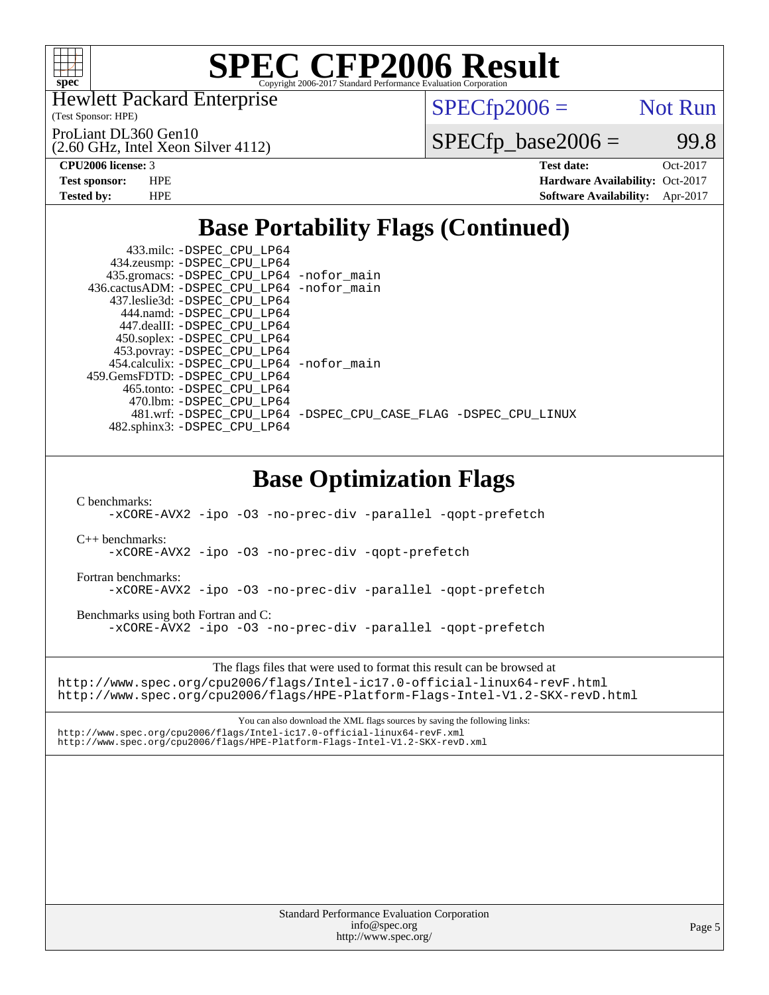

Hewlett Packard Enterprise

(2.60 GHz, Intel Xeon Silver 4112)

(Test Sponsor: HPE)

ProLiant DL360 Gen10

 $SPECfp2006 =$  Not Run

 $SPECTp\_base2006 = 99.8$ 

**[CPU2006 license:](http://www.spec.org/auto/cpu2006/Docs/result-fields.html#CPU2006license)** 3 **[Test date:](http://www.spec.org/auto/cpu2006/Docs/result-fields.html#Testdate)** Oct-2017 **[Test sponsor:](http://www.spec.org/auto/cpu2006/Docs/result-fields.html#Testsponsor)** HPE **[Hardware Availability:](http://www.spec.org/auto/cpu2006/Docs/result-fields.html#HardwareAvailability)** Oct-2017 **[Tested by:](http://www.spec.org/auto/cpu2006/Docs/result-fields.html#Testedby)** HPE **[Software Availability:](http://www.spec.org/auto/cpu2006/Docs/result-fields.html#SoftwareAvailability)** Apr-2017

## **[Base Portability Flags \(Continued\)](http://www.spec.org/auto/cpu2006/Docs/result-fields.html#BasePortabilityFlags)**

| 433.milc: -DSPEC_CPU_LP64<br>434.zeusmp: -DSPEC_CPU_LP64<br>435.gromacs: -DSPEC_CPU_LP64 -nofor_main<br>436.cactusADM: -DSPEC CPU LP64 -nofor main<br>437.leslie3d: -DSPEC_CPU_LP64<br>444.namd: - DSPEC_CPU_LP64<br>447.dealII: -DSPEC_CPU_LP64<br>450.soplex: -DSPEC_CPU_LP64<br>453.povray: - DSPEC_CPU_LP64<br>454.calculix: -DSPEC_CPU_LP64 -nofor_main |  |  |  |  |  |  |  |  |
|--------------------------------------------------------------------------------------------------------------------------------------------------------------------------------------------------------------------------------------------------------------------------------------------------------------------------------------------------------------|--|--|--|--|--|--|--|--|
| 459.GemsFDTD: - DSPEC_CPU_LP64<br>465.tonto: -DSPEC_CPU_LP64<br>470.1bm: -DSPEC_CPU_LP64<br>481.wrf: -DSPEC_CPU_LP64 -DSPEC_CPU_CASE_FLAG -DSPEC_CPU_LINUX<br>482.sphinx3: -DSPEC_CPU_LP64                                                                                                                                                                   |  |  |  |  |  |  |  |  |
| <b>Base Optimization Flags</b>                                                                                                                                                                                                                                                                                                                               |  |  |  |  |  |  |  |  |
| C benchmarks:<br>-xCORE-AVX2 -ipo -03 -no-prec-div -parallel -qopt-prefetch                                                                                                                                                                                                                                                                                  |  |  |  |  |  |  |  |  |
| $C_{++}$ benchmarks:<br>-xCORE-AVX2 -ipo -03 -no-prec-div -qopt-prefetch                                                                                                                                                                                                                                                                                     |  |  |  |  |  |  |  |  |
| Fortran benchmarks:<br>-xCORE-AVX2 -ipo -03 -no-prec-div -parallel -qopt-prefetch                                                                                                                                                                                                                                                                            |  |  |  |  |  |  |  |  |
| Benchmarks using both Fortran and C:<br>-xCORE-AVX2 -ipo -03 -no-prec-div -parallel -qopt-prefetch                                                                                                                                                                                                                                                           |  |  |  |  |  |  |  |  |
| The flags files that were used to format this result can be browsed at<br>http://www.spec.org/cpu2006/flags/Intel-ic17.0-official-linux64-revF.html<br>http://www.spec.org/cpu2006/flags/HPE-Platform-Flags-Intel-V1.2-SKX-revD.html                                                                                                                         |  |  |  |  |  |  |  |  |
| You can also download the XML flags sources by saving the following links:<br>http://www.spec.org/cpu2006/flags/Intel-ic17.0-official-linux64-revF.xml<br>http://www.spec.org/cpu2006/flags/HPE-Platform-Flags-Intel-V1.2-SKX-revD.xml                                                                                                                       |  |  |  |  |  |  |  |  |
|                                                                                                                                                                                                                                                                                                                                                              |  |  |  |  |  |  |  |  |
|                                                                                                                                                                                                                                                                                                                                                              |  |  |  |  |  |  |  |  |
|                                                                                                                                                                                                                                                                                                                                                              |  |  |  |  |  |  |  |  |
|                                                                                                                                                                                                                                                                                                                                                              |  |  |  |  |  |  |  |  |
|                                                                                                                                                                                                                                                                                                                                                              |  |  |  |  |  |  |  |  |